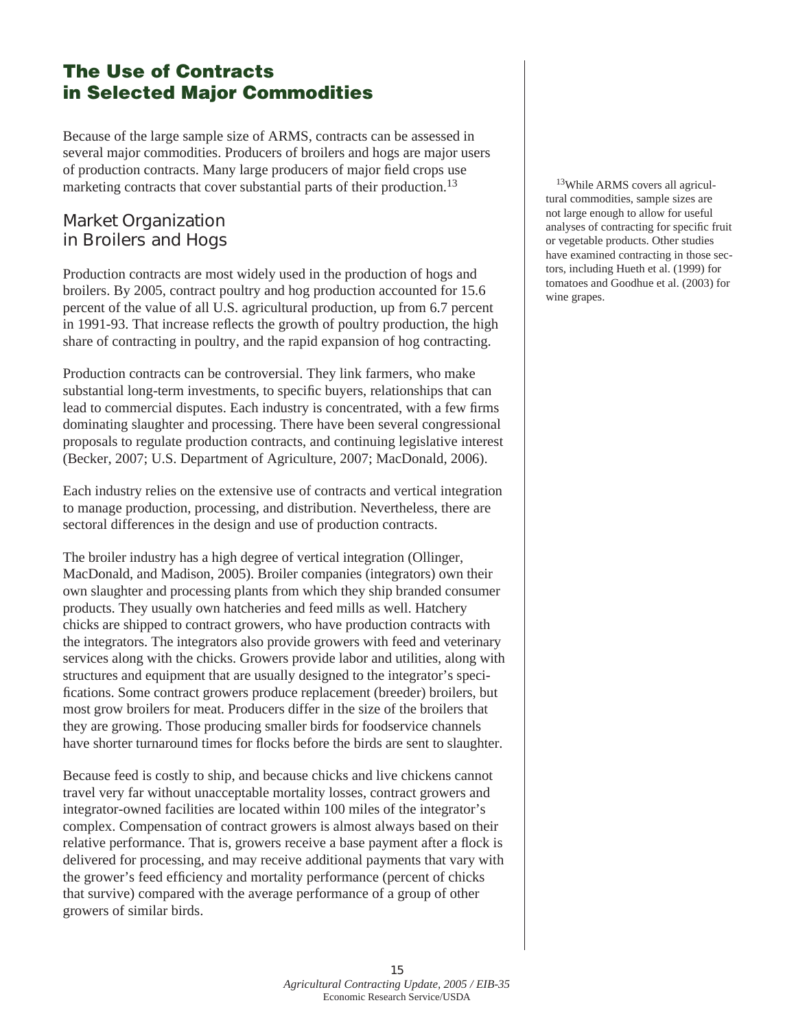# The Use of Contracts in Selected Major Commodities

Because of the large sample size of ARMS, contracts can be assessed in several major commodities. Producers of broilers and hogs are major users of production contracts. Many large producers of major field crops use marketing contracts that cover substantial parts of their production.<sup>13</sup>

### **Market Organization in Broilers and Hogs**

Production contracts are most widely used in the production of hogs and broilers. By 2005, contract poultry and hog production accounted for 15.6 percent of the value of all U.S. agricultural production, up from 6.7 percent in 1991-93. That increase reflects the growth of poultry production, the high share of contracting in poultry, and the rapid expansion of hog contracting.

Production contracts can be controversial. They link farmers, who make substantial long-term investments, to specific buyers, relationships that can lead to commercial disputes. Each industry is concentrated, with a few firms dominating slaughter and processing. There have been several congressional proposals to regulate production contracts, and continuing legislative interest (Becker, 2007; U.S. Department of Agriculture, 2007; MacDonald, 2006).

Each industry relies on the extensive use of contracts and vertical integration to manage production, processing, and distribution. Nevertheless, there are sectoral differences in the design and use of production contracts.

The broiler industry has a high degree of vertical integration (Ollinger, MacDonald, and Madison, 2005). Broiler companies (integrators) own their own slaughter and processing plants from which they ship branded consumer products. They usually own hatcheries and feed mills as well. Hatchery chicks are shipped to contract growers, who have production contracts with the integrators. The integrators also provide growers with feed and veterinary services along with the chicks. Growers provide labor and utilities, along with structures and equipment that are usually designed to the integrator's specifications. Some contract growers produce replacement (breeder) broilers, but most grow broilers for meat. Producers differ in the size of the broilers that they are growing. Those producing smaller birds for foodservice channels have shorter turnaround times for flocks before the birds are sent to slaughter.

Because feed is costly to ship, and because chicks and live chickens cannot travel very far without unacceptable mortality losses, contract growers and integrator-owned facilities are located within 100 miles of the integrator's complex. Compensation of contract growers is almost always based on their relative performance. That is, growers receive a base payment after a flock is delivered for processing, and may receive additional payments that vary with the grower's feed efficiency and mortality performance (percent of chicks that survive) compared with the average performance of a group of other growers of similar birds.

13While ARMS covers all agricultural commodities, sample sizes are not large enough to allow for useful analyses of contracting for specific fruit or vegetable products. Other studies have examined contracting in those sectors, including Hueth et al. (1999) for tomatoes and Goodhue et al. (2003) for wine grapes.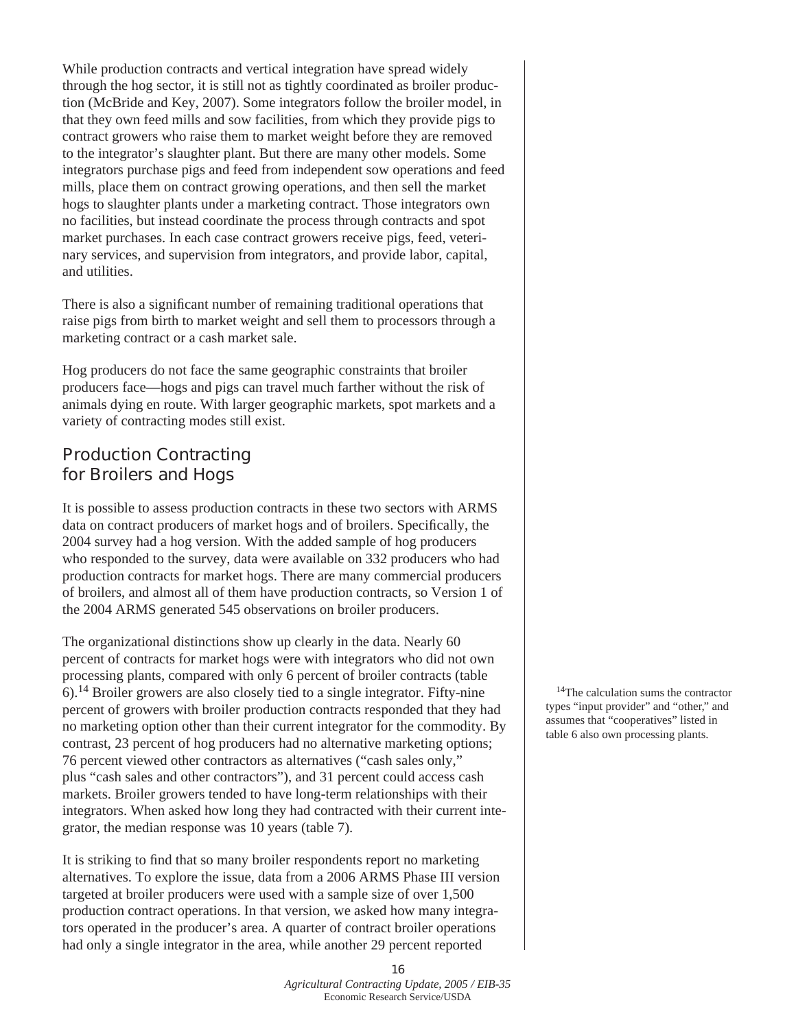While production contracts and vertical integration have spread widely through the hog sector, it is still not as tightly coordinated as broiler production (McBride and Key, 2007). Some integrators follow the broiler model, in that they own feed mills and sow facilities, from which they provide pigs to contract growers who raise them to market weight before they are removed to the integrator's slaughter plant. But there are many other models. Some integrators purchase pigs and feed from independent sow operations and feed mills, place them on contract growing operations, and then sell the market hogs to slaughter plants under a marketing contract. Those integrators own no facilities, but instead coordinate the process through contracts and spot market purchases. In each case contract growers receive pigs, feed, veterinary services, and supervision from integrators, and provide labor, capital, and utilities.

There is also a significant number of remaining traditional operations that raise pigs from birth to market weight and sell them to processors through a marketing contract or a cash market sale.

Hog producers do not face the same geographic constraints that broiler producers face—hogs and pigs can travel much farther without the risk of animals dying en route. With larger geographic markets, spot markets and a variety of contracting modes still exist.

## **Production Contracting for Broilers and Hogs**

It is possible to assess production contracts in these two sectors with ARMS data on contract producers of market hogs and of broilers. Specifically, the 2004 survey had a hog version. With the added sample of hog producers who responded to the survey, data were available on 332 producers who had production contracts for market hogs. There are many commercial producers of broilers, and almost all of them have production contracts, so Version 1 of the 2004 ARMS generated 545 observations on broiler producers.

The organizational distinctions show up clearly in the data. Nearly 60 percent of contracts for market hogs were with integrators who did not own processing plants, compared with only 6 percent of broiler contracts (table 6).14 Broiler growers are also closely tied to a single integrator. Fifty-nine percent of growers with broiler production contracts responded that they had no marketing option other than their current integrator for the commodity. By contrast, 23 percent of hog producers had no alternative marketing options; 76 percent viewed other contractors as alternatives ("cash sales only," plus "cash sales and other contractors"), and 31 percent could access cash markets. Broiler growers tended to have long-term relationships with their integrators. When asked how long they had contracted with their current integrator, the median response was 10 years (table 7).

It is striking to find that so many broiler respondents report no marketing alternatives. To explore the issue, data from a 2006 ARMS Phase III version targeted at broiler producers were used with a sample size of over 1,500 production contract operations. In that version, we asked how many integrators operated in the producer's area. A quarter of contract broiler operations had only a single integrator in the area, while another 29 percent reported

<sup>14</sup>The calculation sums the contractor types "input provider" and "other," and assumes that "cooperatives" listed in table 6 also own processing plants.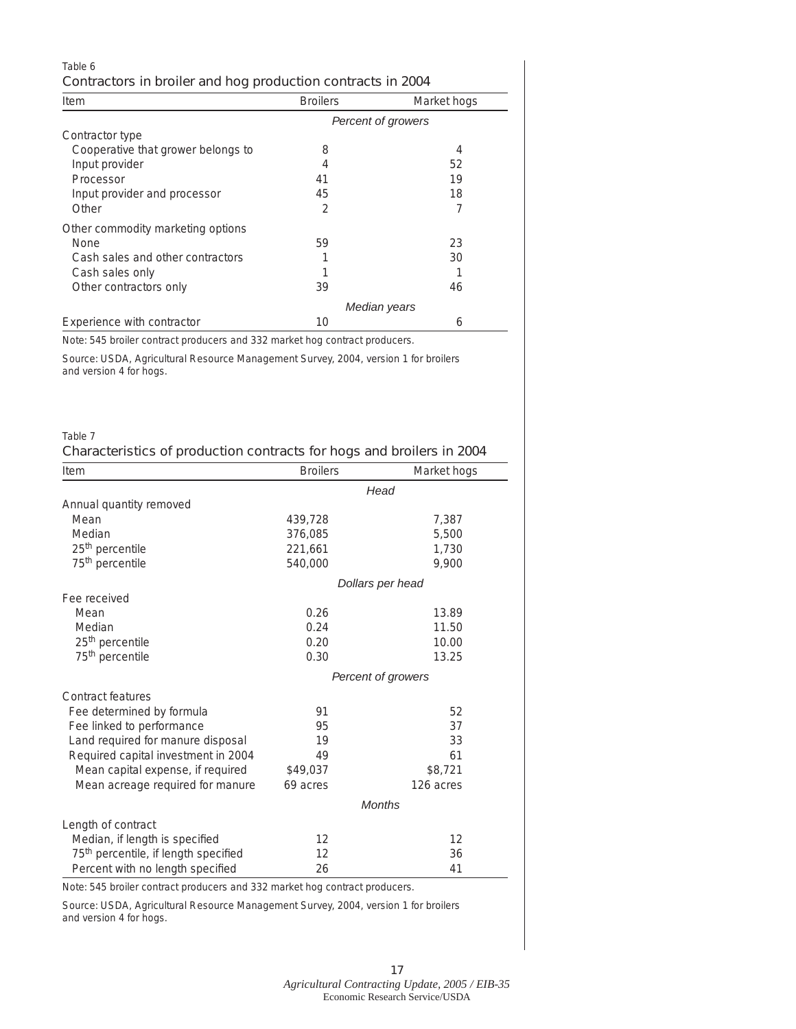| Table 6<br>Contractors in broiler and hog production contracts in 2004 |                    |             |  |  |  |
|------------------------------------------------------------------------|--------------------|-------------|--|--|--|
| Item                                                                   | <b>Broilers</b>    | Market hogs |  |  |  |
|                                                                        | Percent of growers |             |  |  |  |
| Contractor type                                                        |                    |             |  |  |  |
| Cooperative that grower belongs to                                     | 8                  | 4           |  |  |  |
| Input provider                                                         | 4                  | 52          |  |  |  |
| Processor                                                              | 41                 | 19          |  |  |  |
| Input provider and processor                                           | 45                 | 18          |  |  |  |
| Other                                                                  | 2                  | 7           |  |  |  |
| Other commodity marketing options                                      |                    |             |  |  |  |
| None                                                                   | 59                 | 23          |  |  |  |

| Gash sales and other contractors |              | ΟU |
|----------------------------------|--------------|----|
| Cash sales only                  |              |    |
| Other contractors only           | 39           | 46 |
|                                  | Median years |    |
| Experience with contractor       | 10           |    |

Cash sales and other contractors 1 30

Note: 545 broiler contract producers and 332 market hog contract producers.

Source: USDA, Agricultural Resource Management Survey, 2004, version 1 for broilers and version 4 for hogs.

### Table 7

### **Characteristics of production contracts for hogs and broilers in 2004**

| Item                                             | <b>Broilers</b>    | Market hogs      |  |  |
|--------------------------------------------------|--------------------|------------------|--|--|
|                                                  | Head               |                  |  |  |
| Annual quantity removed                          |                    |                  |  |  |
| Mean                                             | 439,728            | 7,387            |  |  |
| Median                                           | 376,085            | 5,500            |  |  |
| 25 <sup>th</sup> percentile                      | 221,661            | 1,730            |  |  |
| 75 <sup>th</sup> percentile                      | 540,000            | 9,900            |  |  |
|                                                  |                    | Dollars per head |  |  |
| Fee received                                     |                    |                  |  |  |
| Mean                                             | 0.26               | 13.89            |  |  |
| Median                                           | 0.24               | 11.50            |  |  |
| 25 <sup>th</sup> percentile                      | 0.20               | 10.00            |  |  |
| 75 <sup>th</sup> percentile                      | 0.30               | 13.25            |  |  |
|                                                  | Percent of growers |                  |  |  |
| Contract features                                |                    |                  |  |  |
| Fee determined by formula                        | 91                 | 52               |  |  |
| Fee linked to performance                        | 95                 | 37               |  |  |
| Land required for manure disposal                | 19                 | 33               |  |  |
| Required capital investment in 2004              | 49                 | 61               |  |  |
| Mean capital expense, if required                | \$49,037           | \$8,721          |  |  |
| Mean acreage required for manure                 | 69 acres           | 126 acres        |  |  |
|                                                  | <b>Months</b>      |                  |  |  |
| Length of contract                               |                    |                  |  |  |
| Median, if length is specified                   | 12                 | 12               |  |  |
| 75 <sup>th</sup> percentile, if length specified | 12                 | 36               |  |  |
| Percent with no length specified                 | 26                 | 41               |  |  |

Note: 545 broiler contract producers and 332 market hog contract producers.

Source: USDA, Agricultural Resource Management Survey, 2004, version 1 for broilers and version 4 for hogs.

> **17** *Agricultural Contracting Update, 2005 / EIB-35*  Economic Research Service/USDA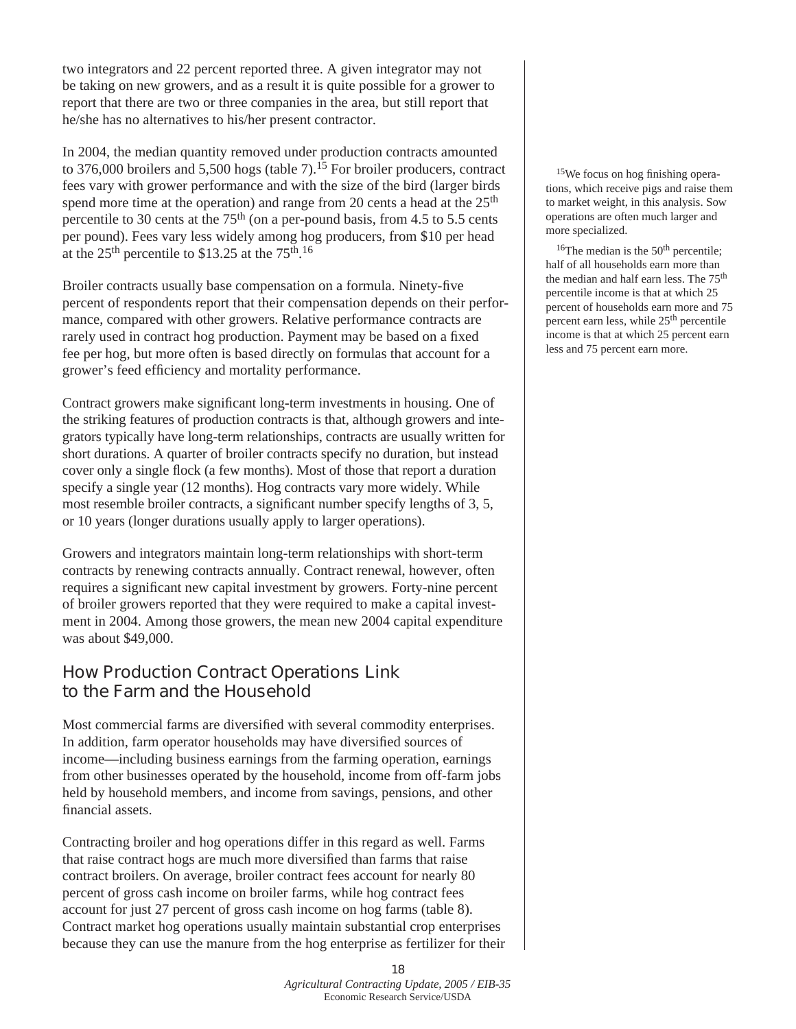two integrators and 22 percent reported three. A given integrator may not be taking on new growers, and as a result it is quite possible for a grower to report that there are two or three companies in the area, but still report that he/she has no alternatives to his/her present contractor.

In 2004, the median quantity removed under production contracts amounted to 376,000 broilers and 5,500 hogs (table 7).<sup>15</sup> For broiler producers, contract fees vary with grower performance and with the size of the bird (larger birds spend more time at the operation) and range from 20 cents a head at the 25<sup>th</sup> percentile to 30 cents at the  $75<sup>th</sup>$  (on a per-pound basis, from 4.5 to 5.5 cents per pound). Fees vary less widely among hog producers, from \$10 per head at the  $25<sup>th</sup>$  percentile to \$13.25 at the  $75<sup>th</sup>$ .<sup>16</sup>

Broiler contracts usually base compensation on a formula. Ninety-five percent of respondents report that their compensation depends on their performance, compared with other growers. Relative performance contracts are rarely used in contract hog production. Payment may be based on a fixed fee per hog, but more often is based directly on formulas that account for a grower's feed efficiency and mortality performance.

Contract growers make significant long-term investments in housing. One of the striking features of production contracts is that, although growers and integrators typically have long-term relationships, contracts are usually written for short durations. A quarter of broiler contracts specify no duration, but instead cover only a single flock (a few months). Most of those that report a duration specify a single year (12 months). Hog contracts vary more widely. While most resemble broiler contracts, a significant number specify lengths of 3, 5, or 10 years (longer durations usually apply to larger operations).

Growers and integrators maintain long-term relationships with short-term contracts by renewing contracts annually. Contract renewal, however, often requires a significant new capital investment by growers. Forty-nine percent of broiler growers reported that they were required to make a capital investment in 2004. Among those growers, the mean new 2004 capital expenditure was about \$49,000.

## **How Production Contract Operations Link to the Farm and the Household**

Most commercial farms are diversified with several commodity enterprises. In addition, farm operator households may have diversified sources of income—including business earnings from the farming operation, earnings from other businesses operated by the household, income from off-farm jobs held by household members, and income from savings, pensions, and other financial assets.

Contracting broiler and hog operations differ in this regard as well. Farms that raise contract hogs are much more diversified than farms that raise contract broilers. On average, broiler contract fees account for nearly 80 percent of gross cash income on broiler farms, while hog contract fees account for just 27 percent of gross cash income on hog farms (table 8). Contract market hog operations usually maintain substantial crop enterprises because they can use the manure from the hog enterprise as fertilizer for their

15We focus on hog finishing operations, which receive pigs and raise them to market weight, in this analysis. Sow operations are often much larger and more specialized.

 $16$ The median is the  $50<sup>th</sup>$  percentile; half of all households earn more than the median and half earn less. The 75<sup>th</sup> percentile income is that at which 25 percent of households earn more and 75 percent earn less, while 25th percentile income is that at which 25 percent earn less and 75 percent earn more.

#### **18** *Agricultural Contracting Update, 2005 / EIB-35* Economic Research Service/USDA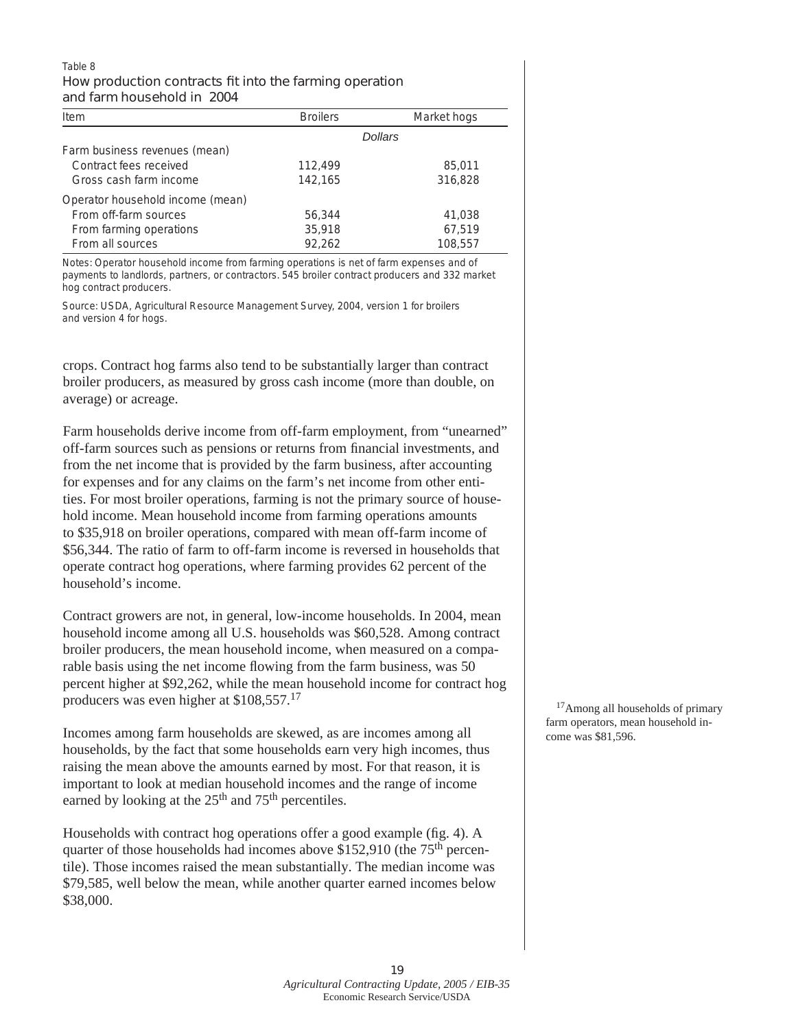#### Table 8 **How production contracts fit into the farming operation and farm household in 2004**

| Item                             | <b>Broilers</b> | Market hogs |
|----------------------------------|-----------------|-------------|
|                                  |                 | Dollars     |
| Farm business revenues (mean)    |                 |             |
| Contract fees received           | 112,499         | 85,011      |
| Gross cash farm income           | 142,165         | 316,828     |
| Operator household income (mean) |                 |             |
| From off-farm sources            | 56.344          | 41,038      |
| From farming operations          | 35,918          | 67,519      |
| From all sources                 | 92,262          | 108,557     |

Notes: Operator household income from farming operations is net of farm expenses and of payments to landlords, partners, or contractors. 545 broiler contract producers and 332 market hog contract producers.

Source: USDA, Agricultural Resource Management Survey, 2004, version 1 for broilers and version 4 for hogs.

crops. Contract hog farms also tend to be substantially larger than contract broiler producers, as measured by gross cash income (more than double, on average) or acreage.

Farm households derive income from off-farm employment, from "unearned" off-farm sources such as pensions or returns from financial investments, and from the net income that is provided by the farm business, after accounting for expenses and for any claims on the farm's net income from other entities. For most broiler operations, farming is not the primary source of household income. Mean household income from farming operations amounts to \$35,918 on broiler operations, compared with mean off-farm income of \$56,344. The ratio of farm to off-farm income is reversed in households that operate contract hog operations, where farming provides 62 percent of the household's income.

Contract growers are not, in general, low-income households. In 2004, mean household income among all U.S. households was \$60,528. Among contract broiler producers, the mean household income, when measured on a comparable basis using the net income flowing from the farm business, was 50 percent higher at \$92,262, while the mean household income for contract hog producers was even higher at \$108,557.17

Incomes among farm households are skewed, as are incomes among all households, by the fact that some households earn very high incomes, thus raising the mean above the amounts earned by most. For that reason, it is important to look at median household incomes and the range of income earned by looking at the  $25<sup>th</sup>$  and  $75<sup>th</sup>$  percentiles.

Households with contract hog operations offer a good example (fig. 4). A quarter of those households had incomes above \$152,910 (the 75<sup>th</sup> percentile). Those incomes raised the mean substantially. The median income was \$79,585, well below the mean, while another quarter earned incomes below \$38,000.

<sup>17</sup>Among all households of primary farm operators, mean household income was \$81,596.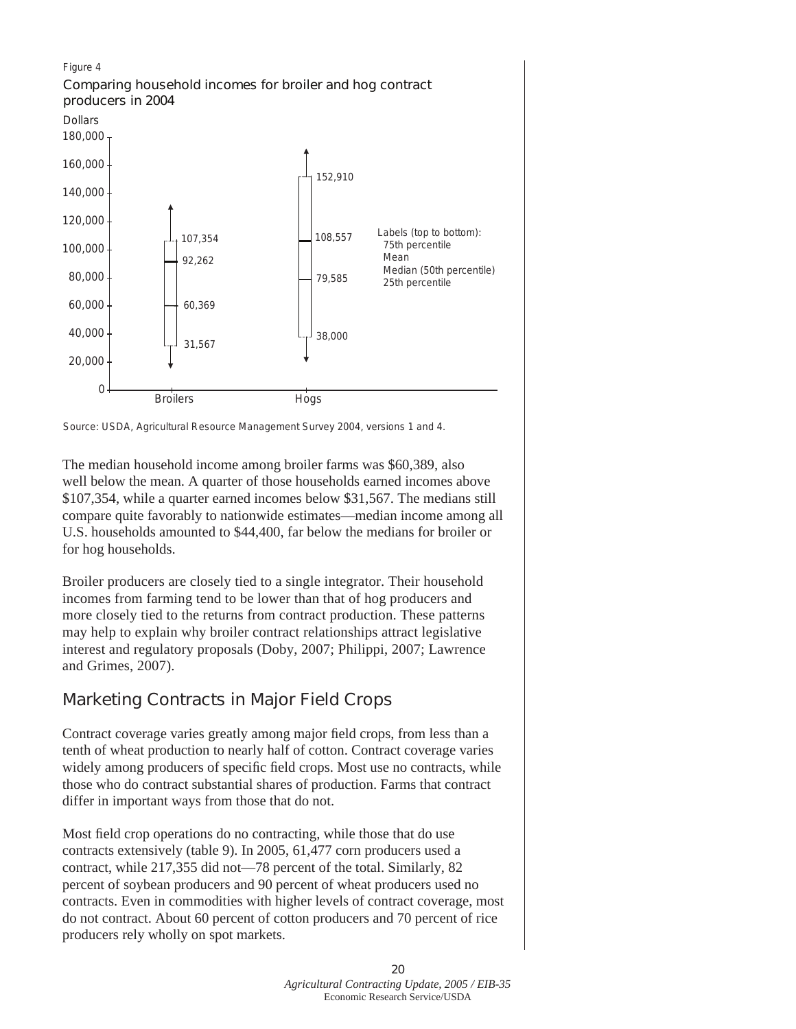

Source: USDA, Agricultural Resource Management Survey 2004, versions 1 and 4.

The median household income among broiler farms was \$60,389, also well below the mean. A quarter of those households earned incomes above \$107,354, while a quarter earned incomes below \$31,567. The medians still compare quite favorably to nationwide estimates—median income among all U.S. households amounted to \$44,400, far below the medians for broiler or for hog households.

Broiler producers are closely tied to a single integrator. Their household incomes from farming tend to be lower than that of hog producers and more closely tied to the returns from contract production. These patterns may help to explain why broiler contract relationships attract legislative interest and regulatory proposals (Doby, 2007; Philippi, 2007; Lawrence and Grimes, 2007).

# **Marketing Contracts in Major Field Crops**

Contract coverage varies greatly among major field crops, from less than a tenth of wheat production to nearly half of cotton. Contract coverage varies widely among producers of specific field crops. Most use no contracts, while those who do contract substantial shares of production. Farms that contract differ in important ways from those that do not.

Most field crop operations do no contracting, while those that do use contracts extensively (table 9). In 2005, 61,477 corn producers used a contract, while 217,355 did not—78 percent of the total. Similarly, 82 percent of soybean producers and 90 percent of wheat producers used no contracts. Even in commodities with higher levels of contract coverage, most do not contract. About 60 percent of cotton producers and 70 percent of rice producers rely wholly on spot markets.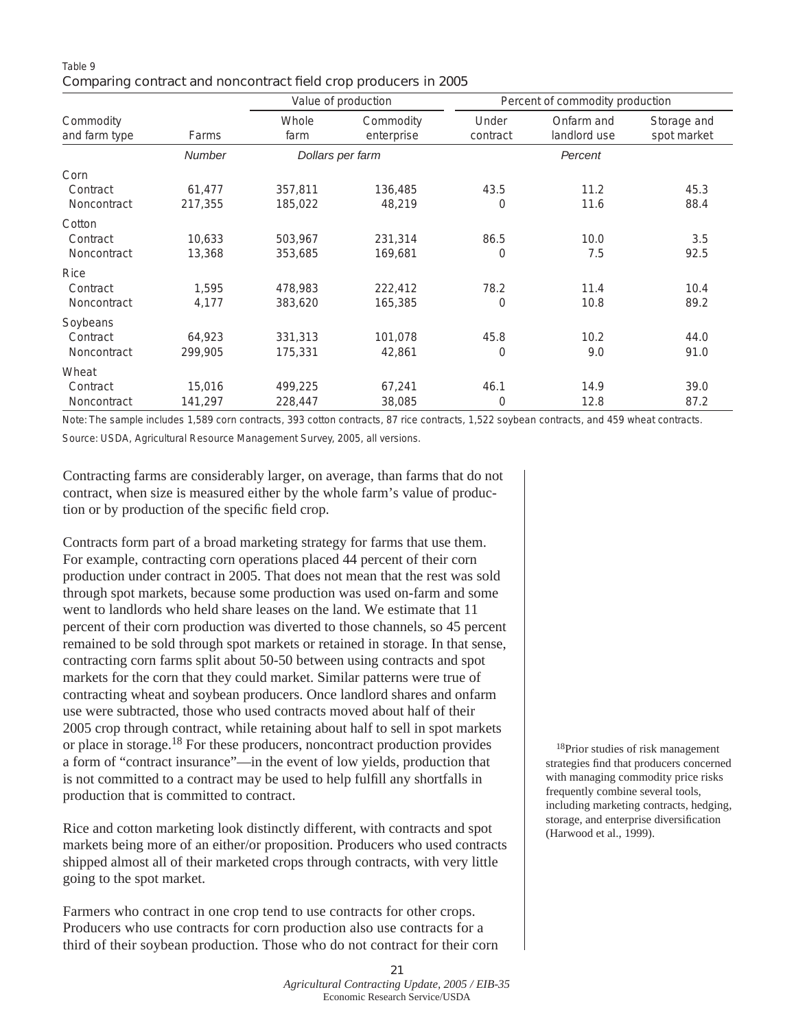### Table 9 **Comparing contract and noncontract field crop producers in 2005**

|                                        |                   |                    | Value of production     | Percent of commodity production |                            |                            |  |
|----------------------------------------|-------------------|--------------------|-------------------------|---------------------------------|----------------------------|----------------------------|--|
| Commodity<br>and farm type             | Farms             | Whole<br>farm      | Commodity<br>enterprise | Under<br>contract               | Onfarm and<br>landlord use | Storage and<br>spot market |  |
|                                        | <b>Number</b>     |                    | Dollars per farm        |                                 | Percent                    |                            |  |
| Corn<br>Contract<br>Noncontract        | 61,477<br>217,355 | 357,811<br>185,022 | 136,485<br>48,219       | 43.5<br>0                       | 11.2<br>11.6               | 45.3<br>88.4               |  |
| Cotton<br>Contract<br>Noncontract      | 10,633<br>13,368  | 503,967<br>353,685 | 231,314<br>169,681      | 86.5<br>0                       | 10.0<br>7.5                | 3.5<br>92.5                |  |
| <b>Rice</b><br>Contract<br>Noncontract | 1.595<br>4,177    | 478,983<br>383,620 | 222,412<br>165,385      | 78.2<br>0                       | 11.4<br>10.8               | 10.4<br>89.2               |  |
| Soybeans<br>Contract<br>Noncontract    | 64,923<br>299,905 | 331,313<br>175,331 | 101,078<br>42,861       | 45.8<br>$\Omega$                | 10.2<br>9.0                | 44.0<br>91.0               |  |
| Wheat<br>Contract<br>Noncontract       | 15,016<br>141,297 | 499,225<br>228,447 | 67,241<br>38,085        | 46.1<br>0                       | 14.9<br>12.8               | 39.0<br>87.2               |  |

Note: The sample includes 1,589 corn contracts, 393 cotton contracts, 87 rice contracts, 1,522 soybean contracts, and 459 wheat contracts.

Source: USDA, Agricultural Resource Management Survey, 2005, all versions.

Contracting farms are considerably larger, on average, than farms that do not contract, when size is measured either by the whole farm's value of production or by production of the specific field crop.

Contracts form part of a broad marketing strategy for farms that use them. For example, contracting corn operations placed 44 percent of their corn production under contract in 2005. That does not mean that the rest was sold through spot markets, because some production was used on-farm and some went to landlords who held share leases on the land. We estimate that 11 percent of their corn production was diverted to those channels, so 45 percent remained to be sold through spot markets or retained in storage. In that sense, contracting corn farms split about 50-50 between using contracts and spot markets for the corn that they could market. Similar patterns were true of contracting wheat and soybean producers. Once landlord shares and onfarm use were subtracted, those who used contracts moved about half of their 2005 crop through contract, while retaining about half to sell in spot markets or place in storage.18 For these producers, noncontract production provides a form of "contract insurance"—in the event of low yields, production that is not committed to a contract may be used to help fulfill any shortfalls in production that is committed to contract.

Rice and cotton marketing look distinctly different, with contracts and spot markets being more of an either/or proposition. Producers who used contracts shipped almost all of their marketed crops through contracts, with very little going to the spot market.

Farmers who contract in one crop tend to use contracts for other crops. Producers who use contracts for corn production also use contracts for a third of their soybean production. Those who do not contract for their corn

18Prior studies of risk management strategies find that producers concerned with managing commodity price risks frequently combine several tools, including marketing contracts, hedging, storage, and enterprise diversification (Harwood et al., 1999).

*Agricultural Contracting Update, 2005 / EIB-35*  Economic Research Service/USDA

**21**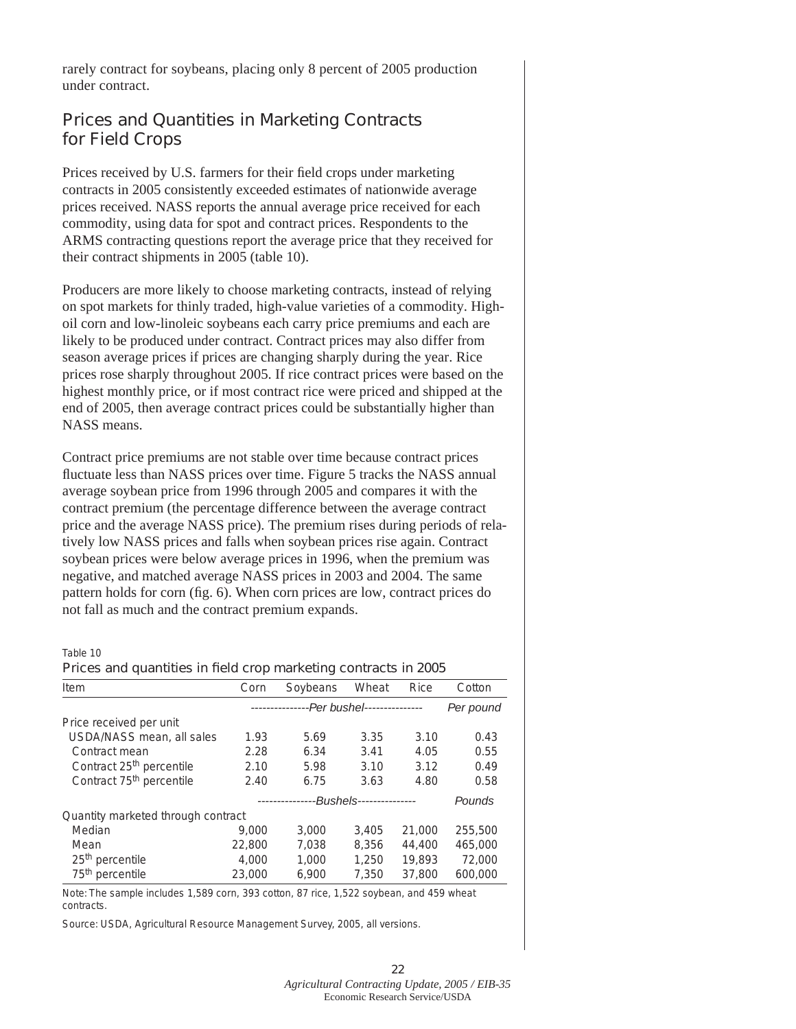rarely contract for soybeans, placing only 8 percent of 2005 production under contract.

### **Prices and Quantities in Marketing Contracts for Field Crops**

Prices received by U.S. farmers for their field crops under marketing contracts in 2005 consistently exceeded estimates of nationwide average prices received. NASS reports the annual average price received for each commodity, using data for spot and contract prices. Respondents to the ARMS contracting questions report the average price that they received for their contract shipments in 2005 (table 10).

Producers are more likely to choose marketing contracts, instead of relying on spot markets for thinly traded, high-value varieties of a commodity. Highoil corn and low-linoleic soybeans each carry price premiums and each are likely to be produced under contract. Contract prices may also differ from season average prices if prices are changing sharply during the year. Rice prices rose sharply throughout 2005. If rice contract prices were based on the highest monthly price, or if most contract rice were priced and shipped at the end of 2005, then average contract prices could be substantially higher than NASS means.

Contract price premiums are not stable over time because contract prices fluctuate less than NASS prices over time. Figure 5 tracks the NASS annual average soybean price from 1996 through 2005 and compares it with the contract premium (the percentage difference between the average contract price and the average NASS price). The premium rises during periods of relatively low NASS prices and falls when soybean prices rise again. Contract soybean prices were below average prices in 1996, when the premium was negative, and matched average NASS prices in 2003 and 2004. The same pattern holds for corn (fig. 6). When corn prices are low, contract prices do not fall as much and the contract premium expands.

Table 10

#### **Prices and quantities in field crop marketing contracts in 2005**

| Item                                 | Corn   | Soybeans  | Wheat | Rice   | Cotton  |  |
|--------------------------------------|--------|-----------|-------|--------|---------|--|
|                                      |        | Per pound |       |        |         |  |
| Price received per unit              |        |           |       |        |         |  |
| USDA/NASS mean, all sales            | 1.93   | 5.69      | 3.35  | 3.10   | 0.43    |  |
| Contract mean                        | 2.28   | 6.34      | 3.41  | 4.05   | 0.55    |  |
| Contract 25 <sup>th</sup> percentile | 2.10   | 5.98      | 3.10  | 3.12   | 0.49    |  |
| Contract 75 <sup>th</sup> percentile | 2.40   | 6.75      | 3.63  | 4.80   | 0.58    |  |
|                                      |        | Pounds    |       |        |         |  |
| Quantity marketed through contract   |        |           |       |        |         |  |
| Median                               | 9.000  | 3.000     | 3,405 | 21,000 | 255,500 |  |
| Mean                                 | 22,800 | 7.038     | 8.356 | 44.400 | 465,000 |  |
| 25 <sup>th</sup> percentile          | 4.000  | 1.000     | 1.250 | 19,893 | 72,000  |  |
| 75 <sup>th</sup> percentile          | 23,000 | 6.900     | 7,350 | 37,800 | 600,000 |  |

Note: The sample includes 1,589 corn, 393 cotton, 87 rice, 1,522 soybean, and 459 wheat contracts.

Source: USDA, Agricultural Resource Management Survey, 2005, all versions.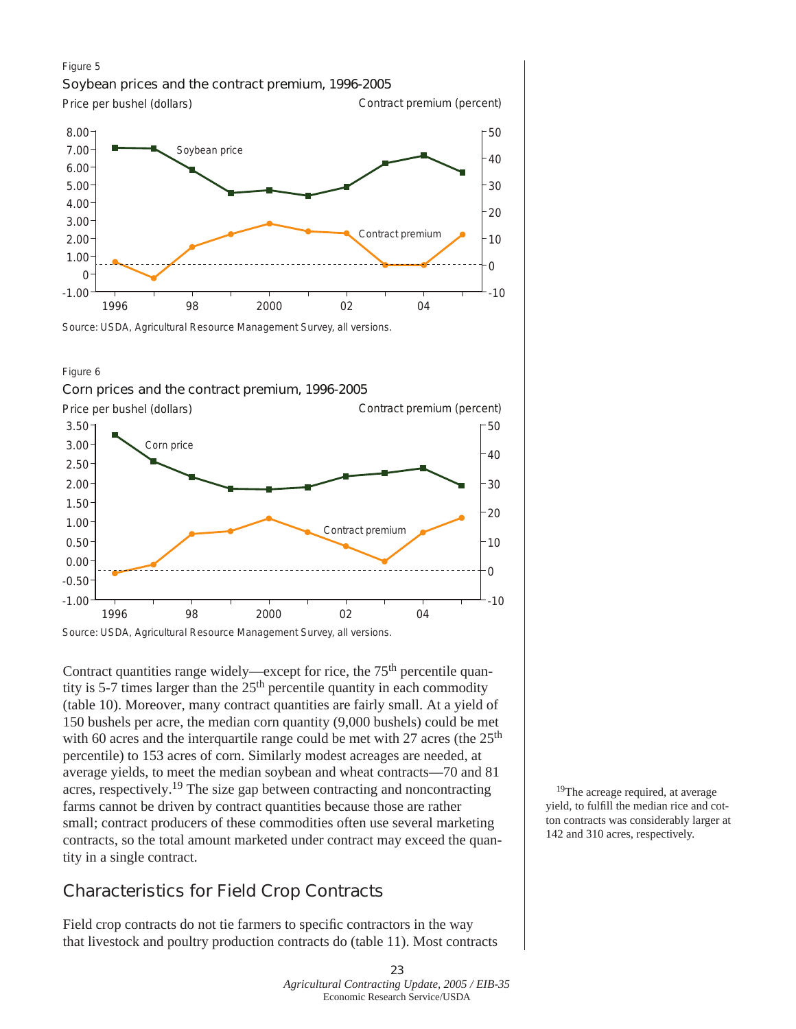### Figure 5 **Soybean prices and the contract premium, 1996-2005**



Source: USDA, Agricultural Resource Management Survey, all versions.



#### **Corn prices and the contract premium, 1996-2005**



Contract quantities range widely—except for rice, the  $75<sup>th</sup>$  percentile quantity is 5-7 times larger than the  $25<sup>th</sup>$  percentile quantity in each commodity (table 10). Moreover, many contract quantities are fairly small. At a yield of 150 bushels per acre, the median corn quantity (9,000 bushels) could be met with 60 acres and the interguartile range could be met with 27 acres (the  $25<sup>th</sup>$ percentile) to 153 acres of corn. Similarly modest acreages are needed, at average yields, to meet the median soybean and wheat contracts—70 and 81 acres, respectively.19 The size gap between contracting and noncontracting farms cannot be driven by contract quantities because those are rather small; contract producers of these commodities often use several marketing contracts, so the total amount marketed under contract may exceed the quantity in a single contract.

# **Characteristics for Field Crop Contracts**

Field crop contracts do not tie farmers to specific contractors in the way that livestock and poultry production contracts do (table 11). Most contracts

<sup>19</sup>The acreage required, at average yield, to fulfill the median rice and cotton contracts was considerably larger at 142 and 310 acres, respectively.

#### **23**  *Agricultural Contracting Update, 2005 / EIB-35*  Economic Research Service/USDA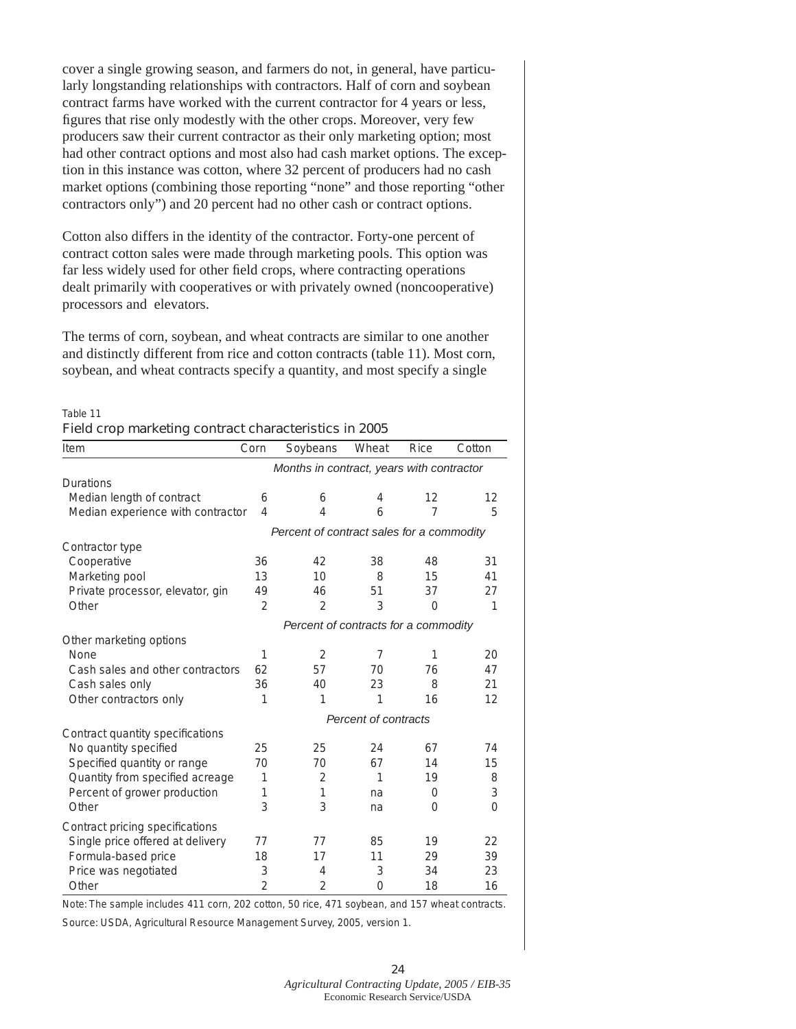cover a single growing season, and farmers do not, in general, have particularly longstanding relationships with contractors. Half of corn and soybean contract farms have worked with the current contractor for 4 years or less, figures that rise only modestly with the other crops. Moreover, very few producers saw their current contractor as their only marketing option; most had other contract options and most also had cash market options. The exception in this instance was cotton, where 32 percent of producers had no cash market options (combining those reporting "none" and those reporting "other contractors only") and 20 percent had no other cash or contract options.

Cotton also differs in the identity of the contractor. Forty-one percent of contract cotton sales were made through marketing pools. This option was far less widely used for other field crops, where contracting operations dealt primarily with cooperatives or with privately owned (noncooperative) processors and elevators.

The terms of corn, soybean, and wheat contracts are similar to one another and distinctly different from rice and cotton contracts (table 11). Most corn, soybean, and wheat contracts specify a quantity, and most specify a single

### Table 11 **Field crop marketing contract characteristics in 2005**

| Item                              | Corn           | Soybeans                                  | Wheat | <b>Rice</b> | Cotton |
|-----------------------------------|----------------|-------------------------------------------|-------|-------------|--------|
|                                   |                | Months in contract, years with contractor |       |             |        |
| <b>Durations</b>                  |                |                                           |       |             |        |
| Median length of contract         | 6              | 6                                         | 4     | 12          | 12     |
| Median experience with contractor | 4              | 4                                         | 6     | 7           | 5      |
|                                   |                | Percent of contract sales for a commodity |       |             |        |
| Contractor type                   |                |                                           |       |             |        |
| Cooperative                       | 36             | 42                                        | 38    | 48          | 31     |
| Marketing pool                    | 13             | 10                                        | 8     | 15          | 41     |
| Private processor, elevator, gin  | 49             | 46                                        | 51    | 37          | 27     |
| Other                             | 2              | $\overline{2}$                            | 3     | 0           | 1      |
|                                   |                | Percent of contracts for a commodity      |       |             |        |
| Other marketing options           |                |                                           |       |             |        |
| None                              | 1              | 2                                         | 7     | 1           | 20     |
| Cash sales and other contractors  | 62             | 57                                        | 70    | 76          | 47     |
| Cash sales only                   | 36             | 40                                        | 23    | 8           | 21     |
| Other contractors only            | 1              | 1                                         | 1     | 16          | 12     |
|                                   |                | Percent of contracts                      |       |             |        |
| Contract quantity specifications  |                |                                           |       |             |        |
| No quantity specified             | 25             | 25                                        | 24    | 67          | 74     |
| Specified quantity or range       | 70             | 70                                        | 67    | 14          | 15     |
| Quantity from specified acreage   | 1              | 2                                         | 1     | 19          | 8      |
| Percent of grower production      | 1              | 1                                         | na    | 0           | 3      |
| Other                             | 3              | 3                                         | na    | 0           | 0      |
| Contract pricing specifications   |                |                                           |       |             |        |
| Single price offered at delivery  | 77             | 77                                        | 85    | 19          | 22     |
| Formula-based price               | 18             | 17                                        | 11    | 29          | 39     |
| Price was negotiated              | 3              | 4                                         | 3     | 34          | 23     |
| Other                             | $\overline{2}$ | 2                                         | 0     | 18          | 16     |

Note: The sample includes 411 corn, 202 cotton, 50 rice, 471 soybean, and 157 wheat contracts.

Source: USDA, Agricultural Resource Management Survey, 2005, version 1.

**24** *Agricultural Contracting Update, 2005 / EIB-35* Economic Research Service/USDA